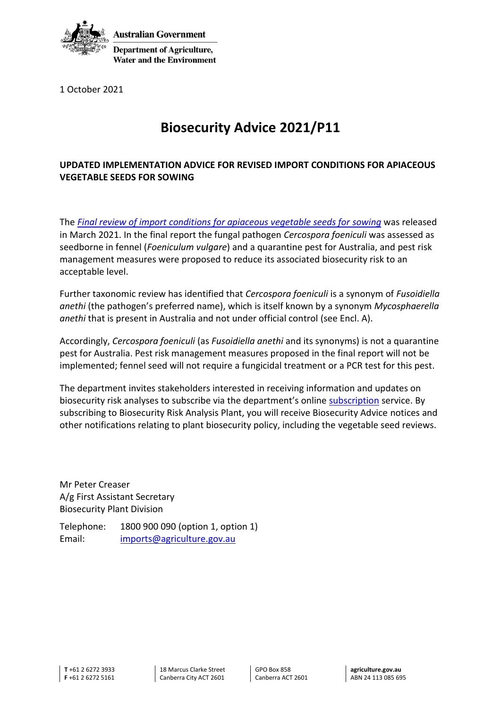

**Department of Agriculture,** 

1 October 2021

## **Biosecurity Advice 2021/P11**

## **UPDATED IMPLEMENTATION ADVICE FOR REVISED IMPORT CONDITIONS FOR APIACEOUS VEGETABLE SEEDS FOR SOWING**

The *[Final review of import conditions for apiaceous vegetable seeds for sowing](https://www.agriculture.gov.au/biosecurity/risk-analysis/plant/apiaceous-crop-seeds)* was released in March 2021. In the final report the fungal pathogen *Cercospora foeniculi* was assessed as seedborne in fennel (*Foeniculum vulgare*) and a quarantine pest for Australia, and pest risk management measures were proposed to reduce its associated biosecurity risk to an acceptable level.

Further taxonomic review has identified that *Cercospora foeniculi* is a synonym of *Fusoidiella anethi* (the pathogen's preferred name), which is itself known by a synonym *Mycosphaerella anethi* that is present in Australia and not under official control (see Encl. A).

Accordingly, *Cercospora foeniculi* (as *Fusoidiella anethi* and its synonyms) is not a quarantine pest for Australia. Pest risk management measures proposed in the final report will not be implemented; fennel seed will not require a fungicidal treatment or a PCR test for this pest.

The department invites stakeholders interested in receiving information and updates on biosecurity risk analyses to subscribe via the department's online [subscription](https://subscribe.agriculture.gov.au/subscribe) service. By subscribing to Biosecurity Risk Analysis Plant, you will receive Biosecurity Advice notices and other notifications relating to plant biosecurity policy, including the vegetable seed reviews.

Mr Peter Creaser A/g First Assistant Secretary Biosecurity Plant Division

Telephone: 1800 900 090 (option 1, option 1) Email: [imports@agriculture.gov.au](mailto:imports@agriculture.gov.au)